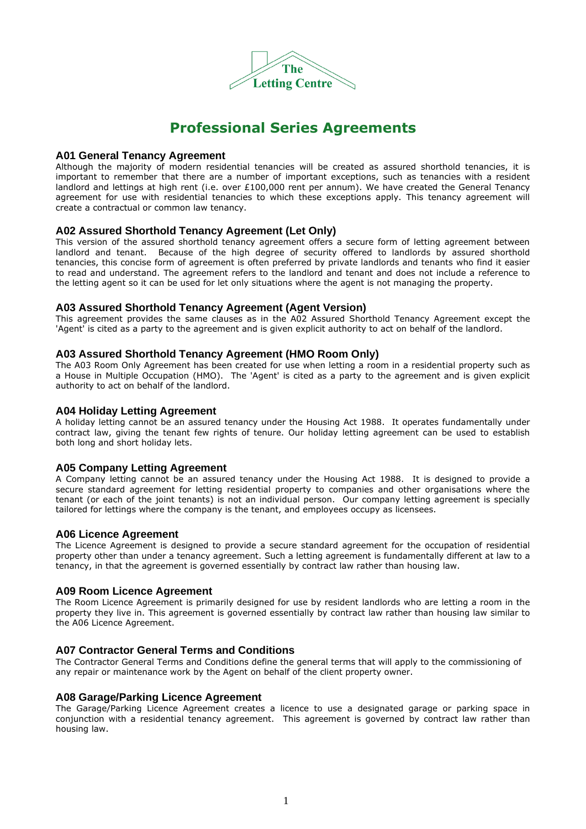

## **Professional Series Agreements**

## **A01 General Tenancy Agreement**

Although the majority of modern residential tenancies will be created as assured shorthold tenancies, it is important to remember that there are a number of important exceptions, such as tenancies with a resident landlord and lettings at high rent (i.e. over £100,000 rent per annum). We have created the General Tenancy agreement for use with residential tenancies to which these exceptions apply. This tenancy agreement will create a contractual or common law tenancy.

## **A02 Assured Shorthold Tenancy Agreement (Let Only)**

This version of the assured shorthold tenancy agreement offers a secure form of letting agreement between landlord and tenant. Because of the high degree of security offered to landlords by assured shorthold tenancies, this concise form of agreement is often preferred by private landlords and tenants who find it easier to read and understand. The agreement refers to the landlord and tenant and does not include a reference to the letting agent so it can be used for let only situations where the agent is not managing the property.

#### **A03 Assured Shorthold Tenancy Agreement (Agent Version)**

This agreement provides the same clauses as in the A02 Assured Shorthold Tenancy Agreement except the 'Agent' is cited as a party to the agreement and is given explicit authority to act on behalf of the landlord.

## **A03 Assured Shorthold Tenancy Agreement (HMO Room Only)**

The A03 Room Only Agreement has been created for use when letting a room in a residential property such as a House in Multiple Occupation (HMO). The 'Agent' is cited as a party to the agreement and is given explicit authority to act on behalf of the landlord.

#### **A04 Holiday Letting Agreement**

A holiday letting cannot be an assured tenancy under the Housing Act 1988. It operates fundamentally under contract law, giving the tenant few rights of tenure. Our holiday letting agreement can be used to establish both long and short holiday lets.

### **A05 Company Letting Agreement**

A Company letting cannot be an assured tenancy under the Housing Act 1988. It is designed to provide a secure standard agreement for letting residential property to companies and other organisations where the tenant (or each of the joint tenants) is not an individual person. Our company letting agreement is specially tailored for lettings where the company is the tenant, and employees occupy as licensees.

#### **A06 Licence Agreement**

The Licence Agreement is designed to provide a secure standard agreement for the occupation of residential property other than under a tenancy agreement. Such a letting agreement is fundamentally different at law to a tenancy, in that the agreement is governed essentially by contract law rather than housing law.

#### **A09 Room Licence Agreement**

The Room Licence Agreement is primarily designed for use by resident landlords who are letting a room in the property they live in. This agreement is governed essentially by contract law rather than housing law similar to the A06 Licence Agreement.

#### **A07 Contractor General Terms and Conditions**

The Contractor General Terms and Conditions define the general terms that will apply to the commissioning of any repair or maintenance work by the Agent on behalf of the client property owner.

## **A08 Garage/Parking Licence Agreement**

The Garage/Parking Licence Agreement creates a licence to use a designated garage or parking space in conjunction with a residential tenancy agreement. This agreement is governed by contract law rather than housing law.